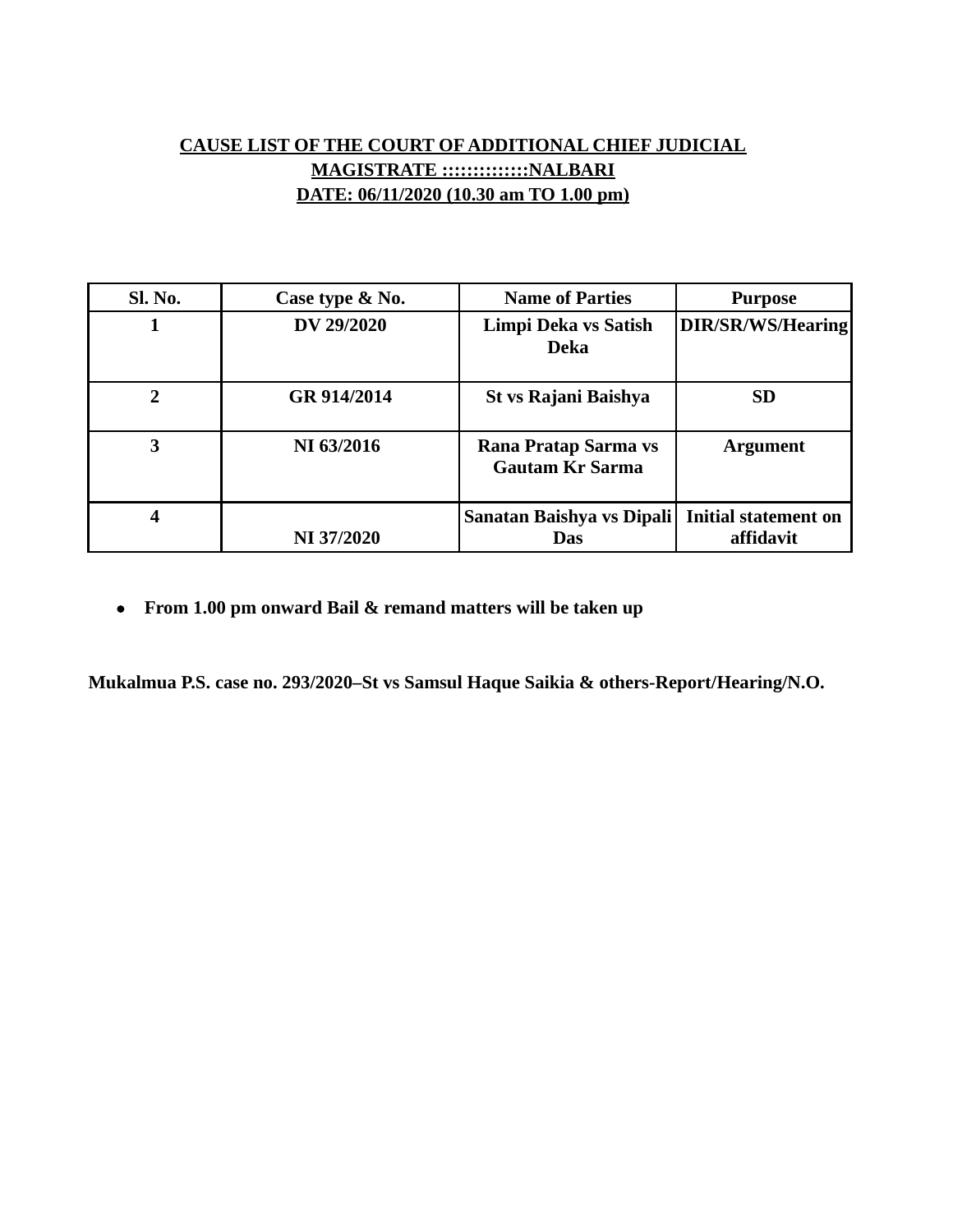## **CAUSE LIST OF THE COURT OF ADDITIONAL CHIEF JUDICIAL MAGISTRATE ::::::::::::::NALBARI DATE: 06/11/2020 (10.30 am TO 1.00 pm)**

| Sl. No. | Case type & No. | <b>Name of Parties</b>                         | <b>Purpose</b>                           |
|---------|-----------------|------------------------------------------------|------------------------------------------|
|         | DV 29/2020      | Limpi Deka vs Satish<br>Deka                   | DIR/SR/WS/Hearing                        |
| 2       | GR 914/2014     | <b>St vs Rajani Baishya</b>                    | <b>SD</b>                                |
| 3       | NI 63/2016      | Rana Pratap Sarma vs<br><b>Gautam Kr Sarma</b> | <b>Argument</b>                          |
| 4       | NI 37/2020      | Sanatan Baishya vs Dipali<br><b>Das</b>        | <b>Initial statement on</b><br>affidavit |

**From 1.00 pm onward Bail & remand matters will be taken up**

**Mukalmua P.S. case no. 293/2020–St vs Samsul Haque Saikia & others-Report/Hearing/N.O.**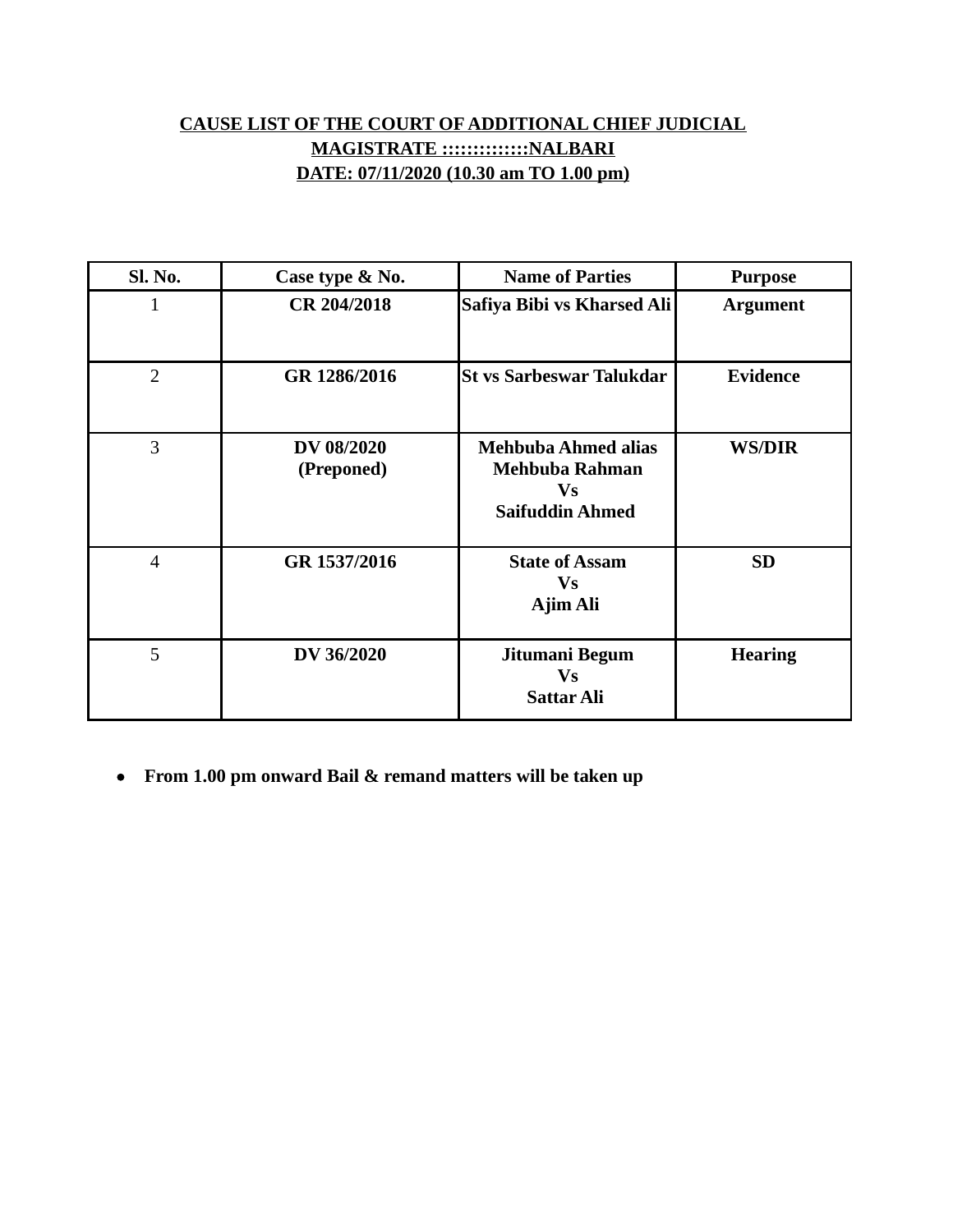## **CAUSE LIST OF THE COURT OF ADDITIONAL CHIEF JUDICIAL MAGISTRATE ::::::::::::::NALBARI DATE: 07/11/2020 (10.30 am TO 1.00 pm)**

| Sl. No.        | Case type & No.          | <b>Name of Parties</b>                                                              | <b>Purpose</b>  |
|----------------|--------------------------|-------------------------------------------------------------------------------------|-----------------|
| 1              | CR 204/2018              | Safiya Bibi vs Kharsed Ali                                                          | <b>Argument</b> |
| $\overline{2}$ | GR 1286/2016             | <b>St vs Sarbeswar Talukdar</b>                                                     | <b>Evidence</b> |
| 3              | DV 08/2020<br>(Preponed) | <b>Mehbuba Ahmed alias</b><br>Mehbuba Rahman<br><b>Vs</b><br><b>Saifuddin Ahmed</b> | <b>WS/DIR</b>   |
| $\overline{4}$ | GR 1537/2016             | <b>State of Assam</b><br><b>Vs</b><br>Ajim Ali                                      | <b>SD</b>       |
| 5              | DV 36/2020               | Jitumani Begum<br><b>Vs</b><br><b>Sattar Ali</b>                                    | <b>Hearing</b>  |

**From 1.00 pm onward Bail & remand matters will be taken up**